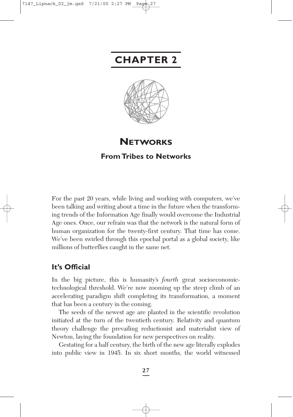# **CHAPTER 2**



**NETWORKS**

# **From Tribes to Networks**

For the past 20 years, while living and working with computers, we've been talking and writing about a time in the future when the transforming trends of the Information Age finally would overcome the Industrial Age ones. Once, our refrain was that the network is the natural form of human organization for the twenty-first century. That time has come. We've been swirled through this epochal portal as a global society, like millions of butterflies caught in the same net.

# **It's Official**

In the big picture, this is humanity's *fourth* great socioeconomictechnological threshold. We're now zooming up the steep climb of an accelerating paradigm shift completing its transformation, a moment that has been a century in the coming.

The seeds of the newest age are planted in the scientific revolution initiated at the turn of the twentieth century. Relativity and quantum theory challenge the prevailing reductionist and materialist view of Newton, laying the foundation for new perspectives on reality.

Gestating for a half century, the birth of the new age literally explodes into public view in 1945. In six short months, the world witnessed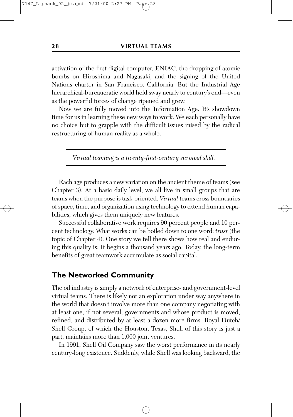activation of the first digital computer, ENIAC, the dropping of atomic bombs on Hiroshima and Nagasaki, and the signing of the United Nations charter in San Francisco, California. But the Industrial Age hierarchical-bureaucratic world held sway nearly to century's end—even as the powerful forces of change ripened and grew.

Now we are fully moved into the Information Age. It's showdown time for us in learning these new ways to work. We each personally have no choice but to grapple with the difficult issues raised by the radical restructuring of human reality as a whole.

*Virtual teaming is a twenty-first-century survival skill.*

Each age produces a new variation on the ancient theme of teams (see Chapter 3). At a basic daily level, we all live in small groups that are teams when the purpose is task-oriented. *Virtual* teams cross boundaries of space, time, and organization using technology to extend human capabilities, which gives them uniquely new features.

Successful collaborative work requires 90 percent people and 10 percent technology. What works can be boiled down to one word: *trust* (the topic of Chapter 4). One story we tell there shows how real and enduring this quality is: It begins a thousand years ago. Today, the long-term benefits of great teamwork accumulate as social capital.

### **The Networked Community**

The oil industry is simply a network of enterprise- and government-level virtual teams. There is likely not an exploration under way anywhere in the world that doesn't involve more than one company negotiating with at least one, if not several, governments and whose product is moved, refined, and distributed by at least a dozen more firms. Royal Dutch/ Shell Group, of which the Houston, Texas, Shell of this story is just a part, maintains more than 1,000 joint ventures.

In 1991, Shell Oil Company saw the worst performance in its nearly century-long existence. Suddenly, while Shell was looking backward, the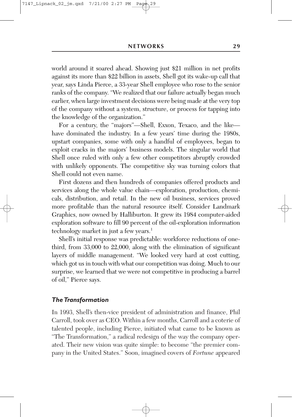world around it soared ahead. Showing just \$21 million in net profits against its more than \$22 billion in assets, Shell got its wake-up call that year, says Linda Pierce, a 33-year Shell employee who rose to the senior ranks of the company. "We realized that our failure actually began much earlier, when large investment decisions were being made at the very top of the company without a system, structure, or process for tapping into the knowledge of the organization."

For a century, the "majors"—Shell, Exxon, Texaco, and the like have dominated the industry. In a few years' time during the 1980s, upstart companies, some with only a handful of employees, began to exploit cracks in the majors' business models. The singular world that Shell once ruled with only a few other competitors abruptly crowded with unlikely opponents. The competitive sky was turning colors that Shell could not even name.

First dozens and then hundreds of companies offered products and services along the whole value chain—exploration, production, chemicals, distribution, and retail. In the new oil business, services proved more profitable than the natural resource itself. Consider Landmark Graphics, now owned by Halliburton. It grew its 1984 computer-aided exploration software to fill 90 percent of the oil-exploration information technology market in just a few years.<sup>1</sup>

Shell's initial response was predictable: workforce reductions of onethird, from 33,000 to 22,000, along with the elimination of significant layers of middle management. "We looked very hard at cost cutting, which got us in touch with what our competition was doing. Much to our surprise, we learned that we were not competitive in producing a barrel of oil," Pierce says.

#### *The Transformation*

In 1993, Shell's then-vice president of administration and finance, Phil Carroll, took over as CEO. Within a few months, Carroll and a coterie of talented people, including Pierce, initiated what came to be known as "The Transformation," a radical redesign of the way the company operated. Their new vision was quite simple: to become "the premier company in the United States." Soon, imagined covers of *Fortune* appeared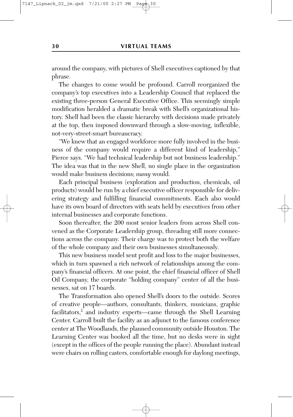around the company, with pictures of Shell executives captioned by that phrase.

The changes to come would be profound. Carroll reorganized the company's top executives into a Leadership Council that replaced the existing three-person General Executive Office. This seemingly simple modification heralded a dramatic break with Shell's organizational history. Shell had been the classic hierarchy with decisions made privately at the top, then imposed downward through a slow-moving, inflexible, not-very-street-smart bureaucracy.

"We knew that an engaged workforce more fully involved in the business of the company would require a different kind of leadership," Pierce says. "We had technical leadership but not business leadership." The idea was that in the new Shell, no single place in the organization would make business decisions; *many* would.

Each principal business (exploration and production, chemicals, oil products) would be run by a chief executive officer responsible for delivering strategy and fulfilling financial commitments. Each also would have its own board of directors with seats held by executives from other internal businesses and corporate functions.

Soon thereafter, the 200 most senior leaders from across Shell convened as the Corporate Leadership group, threading still more connections across the company. Their charge was to protect both the welfare of the whole company and their own businesses simultaneously.

This new business model sent profit and loss to the major businesses, which in turn spawned a rich network of relationships among the company's financial officers. At one point, the chief financial officer of Shell Oil Company, the corporate "holding company" center of all the businesses, sat on 17 boards.

The Transformation also opened Shell's doors to the outside. Scores of creative people—authors, consultants, thinkers, musicians, graphic facilitators,<sup>2</sup> and industry experts—came through the Shell Learning Center. Carroll built the facility as an adjunct to the famous conference center at The Woodlands, the planned community outside Houston. The Learning Center was booked all the time, but no desks were in sight (except in the offices of the people running the place). Abundant instead were chairs on rolling casters, comfortable enough for daylong meetings,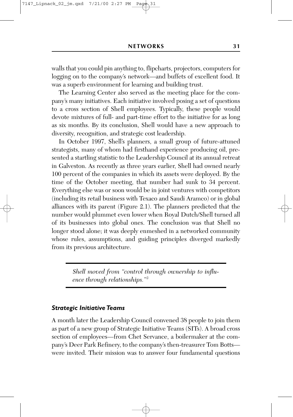walls that you could pin anything to, flipcharts, projectors, computers for logging on to the company's network—and buffets of excellent food. It was a superb environment for learning and building trust.

The Learning Center also served as the meeting place for the company's many initiatives. Each initiative involved posing a set of questions to a cross section of Shell employees. Typically, these people would devote mixtures of full- and part-time effort to the initiative for as long as six months. By its conclusion, Shell would have a new approach to diversity, recognition, and strategic cost leadership.

In October 1997, Shell's planners, a small group of future-attuned strategists, many of whom had firsthand experience producing oil, presented a startling statistic to the Leadership Council at its annual retreat in Galveston. As recently as three years earlier, Shell had owned nearly 100 percent of the companies in which its assets were deployed. By the time of the October meeting, that number had sunk to 34 percent. Everything else was or soon would be in joint ventures with competitors (including its retail business with Texaco and Saudi Aramco) or in global alliances with its parent (Figure 2.1). The planners predicted that the number would plummet even lower when Royal Dutch/Shell turned all of its businesses into global ones. The conclusion was that Shell no longer stood alone; it was deeply enmeshed in a networked community whose rules, assumptions, and guiding principles diverged markedly from its previous architecture.

> *Shell moved from "control through ownership to influence through relationships."3*

#### *Strategic Initiative Teams*

A month later the Leadership Council convened 38 people to join them as part of a new group of Strategic Initiative Teams (SITs). A broad cross section of employees—from Chet Servance, a boilermaker at the company's Deer Park Refinery, to the company's then-treasurer Tom Botts were invited. Their mission was to answer four fundamental questions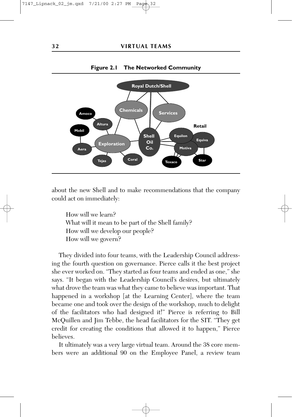

**Figure 2.1 The Networked Community**

about the new Shell and to make recommendations that the company could act on immediately:

How will we learn? What will it mean to be part of the Shell family? How will we develop our people? How will we govern?

They divided into four teams, with the Leadership Council addressing the fourth question on governance. Pierce calls it the best project she ever worked on. "They started as four teams and ended as one," she says. "It began with the Leadership Council's desires, but ultimately what drove the team was what they came to believe was important. That happened in a workshop [at the Learning Center], where the team became one and took over the design of the workshop, much to delight of the facilitators who had designed it!" Pierce is referring to Bill McQuillen and Jim Tebbe, the head facilitators for the SIT. "They get credit for creating the conditions that allowed it to happen," Pierce believes.

It ultimately was a very large virtual team. Around the 38 core members were an additional 90 on the Employee Panel, a review team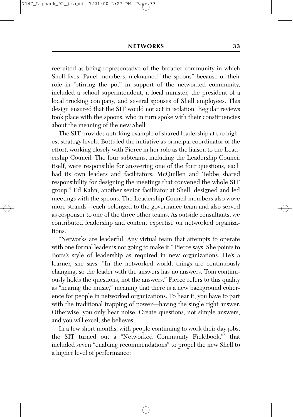recruited as being representative of the broader community in which Shell lives. Panel members, nicknamed "the spoons" because of their role in "stirring the pot" in support of the networked community, included a school superintendent, a local minister, the president of a local trucking company, and several spouses of Shell employees. This design ensured that the SIT would not act in isolation. Regular reviews took place with the spoons, who in turn spoke with their constituencies about the meaning of the new Shell.

The SIT provides a striking example of shared leadership at the highest strategy levels. Botts led the initiative as principal coordinator of the effort, working closely with Pierce in her role as the liaison to the Leadership Council. The four subteams, including the Leadership Council itself, were responsible for answering one of the four questions; each had its own leaders and facilitators. McQuillen and Tebbe shared responsibility for designing the meetings that convened the whole SIT group.4 Ed Kahn, another senior facilitator at Shell, designed and led meetings with the spoons. The Leadership Council members also wove more strands—each belonged to the governance team and also served as cosponsor to one of the three other teams. As outside consultants, we contributed leadership and content expertise on networked organizations.

"Networks are leaderful. Any virtual team that attempts to operate with one formal leader is not going to make it," Pierce says. She points to Botts's style of leadership as required in new organizations. He's a learner, she says. "In the networked world, things are continuously changing, so the leader with the answers has no answers. Tom continuously holds the questions, not the answers." Pierce refers to this quality as "hearing the music," meaning that there is a new background coherence for people in networked organizations. To hear it, you have to part with the traditional trapping of power—having the single right answer. Otherwise, you only hear noise. Create questions, not simple answers, and you will excel, she believes.

In a few short months, with people continuing to work their day jobs, the SIT turned out a "Networked Community Fieldbook,"5 that included seven "enabling recommendations" to propel the new Shell to a higher level of performance: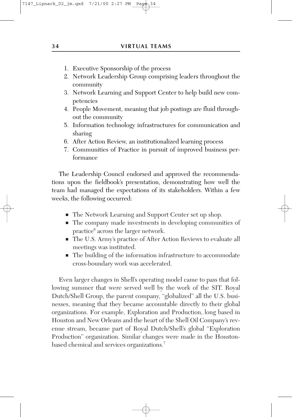- 1. Executive Sponsorship of the process
- 2. Network Leadership Group comprising leaders throughout the community
- 3. Network Learning and Support Center to help build new competencies
- 4. People Movement, meaning that job postings are fluid throughout the community
- 5. Information technology infrastructures for communication and sharing
- 6. After Action Review, an institutionalized learning process
- 7. Communities of Practice in pursuit of improved business performance

The Leadership Council endorsed and approved the recommendations upon the fieldbook's presentation, demonstrating how well the team had managed the expectations of its stakeholders. Within a few weeks, the following occurred:

- The Network Learning and Support Center set up shop.
- The company made investments in developing communities of practice<sup>6</sup> across the larger network.
- The U.S. Army's practice of After Action Reviews to evaluate all meetings was instituted.
- The building of the information infrastructure to accommodate cross-boundary work was accelerated.

Even larger changes in Shell's operating model came to pass that following summer that were served well by the work of the SIT. Royal Dutch/Shell Group, the parent company, "globalized" all the U.S. businesses, meaning that they became accountable directly to their global organizations. For example, Exploration and Production, long based in Houston and New Orleans and the heart of the Shell Oil Company's revenue stream, became part of Royal Dutch/Shell's global "Exploration Production" organization. Similar changes were made in the Houstonbased chemical and services organizations.<sup>7</sup>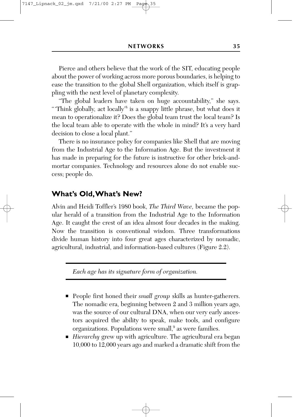Pierce and others believe that the work of the SIT, educating people about the power of working across more porous boundaries, is helping to ease the transition to the global Shell organization, which itself is grappling with the next level of planetary complexity.

"The global leaders have taken on huge accountability," she says. "'Think globally, act locally'8 is a snappy little phrase, but what does it mean to operationalize it? Does the global team trust the local team? Is the local team able to operate with the whole in mind? It's a very hard decision to close a local plant."

There is no insurance policy for companies like Shell that are moving from the Industrial Age to the Information Age. But the investment it has made in preparing for the future is instructive for other brick-andmortar companies. Technology and resources alone do not enable success; people do.

# **What's Old,What's New?**

Alvin and Heidi Toffler's 1980 book, *The Third Wave,* became the popular herald of a transition from the Industrial Age to the Information Age. It caught the crest of an idea almost four decades in the making. Now the transition is conventional wisdom. Three transformations divide human history into four great ages characterized by nomadic, agricultural, industrial, and information-based cultures (Figure 2.2).

*Each age has its signature form of organization.*

- People first honed their *small group* skills as hunter-gatherers. The nomadic era, beginning between 2 and 3 million years ago, was the source of our cultural DNA, when our very early ancestors acquired the ability to speak, make tools, and configure organizations. Populations were small,<sup>9</sup> as were families.
- *Hierarchy* grew up with agriculture. The agricultural era began 10,000 to 12,000 years ago and marked a dramatic shift from the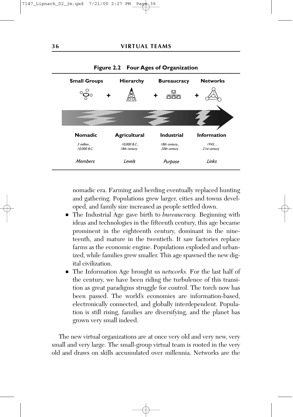

**Figure 2.2 Four Ages of Organization**

nomadic era. Farming and herding eventually replaced hunting and gathering. Populations grew larger, cities and towns developed, and family size increased as people settled down.

- The Industrial Age gave birth to *bureaucracy*. Beginning with ideas and technologies in the fifteenth century, this age became prominent in the eighteenth century, dominant in the nineteenth, and mature in the twentieth. It saw factories replace farms as the economic engine. Populations exploded and urbanized, while families grew smaller. This age spawned the new digital civilization.
- The Information Age brought us *networks*. For the last half of the century, we have been riding the turbulence of this transition as great paradigms struggle for control. The torch now has been passed. The world's economies are information-based, electronically connected, and globally interdependent. Population is still rising, families are diversifying, and the planet has grown very small indeed.

The new virtual organizations are at once very old and very new, very small and very large. The small-group virtual team is rooted in the very old and draws on skills accumulated over millennia. Networks are the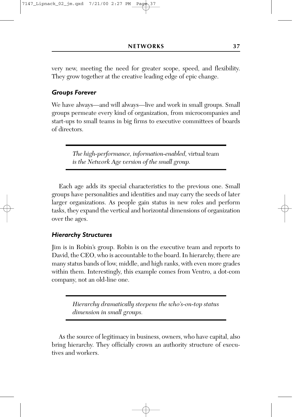very new, meeting the need for greater scope, speed, and flexibility. They grow together at the creative leading edge of epic change.

# *Groups Forever*

We have always—and will always—live and work in small groups. Small groups permeate every kind of organization, from microcompanies and start-ups to small teams in big firms to executive committees of boards of directors.

> *The high-performance, information-enabled,* virtual team *is the Network Age version of the small group.*

Each age adds its special characteristics to the previous one. Small groups have personalities and identities and may carry the seeds of later larger organizations. As people gain status in new roles and perform tasks, they expand the vertical and horizontal dimensions of organization over the ages.

## *Hierarchy Structures*

Jim is in Robin's group. Robin is on the executive team and reports to David, the CEO, who is accountable to the board. In hierarchy, there are many status bands of low, middle, and high ranks, with even more grades within them. Interestingly, this example comes from Ventro, a dot-com company, not an old-line one.

> *Hierarchy dramatically steepens the who's-on-top status dimension in small groups.*

As the source of legitimacy in business, owners, who have capital, also bring hierarchy. They officially crown an authority structure of executives and workers.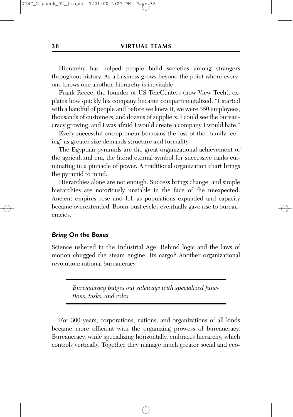Hierarchy has helped people build societies among strangers throughout history. As a business grows beyond the point where everyone knows one another, hierarchy is inevitable.

Frank Reece, the founder of US TeleCenters (now View Tech), explains how quickly his company became compartmentalized. "I started with a handful of people and before we knew it, we were 350 employees, thousands of customers, and dozens of suppliers. I could see the bureaucracy growing, and I was afraid I would create a company I would hate."

Every successful entrepreneur bemoans the loss of the "family feeling" as greater size demands structure and formality.

The Egyptian pyramids are the great organizational achievement of the agricultural era, the literal eternal symbol for successive ranks culminating in a pinnacle of power. A traditional organization chart brings the pyramid to mind.

Hierarchies alone are not enough. Success brings change, and simple hierarchies are notoriously unstable in the face of the unexpected. Ancient empires rose and fell as populations expanded and capacity became overextended. Boom-bust cycles eventually gave rise to bureaucracies.

#### *Bring On the Boxes*

Science ushered in the Industrial Age. Behind logic and the laws of motion chugged the steam engine. Its cargo? Another organizational revolution: rational bureaucracy.

> *Bureaucracy bulges out sideways with specialized functions, tasks, and roles.*

For 300 years, corporations, nations, and organizations of all kinds became more efficient with the organizing prowess of bureaucracy. Bureaucracy, while specializing horizontally, embraces hierarchy, which controls vertically. Together they manage much greater social and eco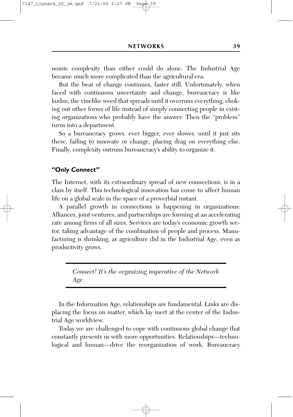nomic complexity than either could do alone. The Industrial Age became much more complicated than the agricultural era.

But the beat of change continues, faster still. Unfortunately, when faced with continuous uncertainty and change, bureaucracy is like kudzu, the vinelike weed that spreads until it overruns everything, choking out other forms of life instead of simply connecting people in existing organizations who probably have the answer. Then the "problem" turns into a department.

So a bureaucracy grows, ever bigger, ever slower, until it just sits there, failing to innovate or change, placing drag on everything else. Finally, complexity outruns bureaucracy's ability to organize it.

#### *"Only Connect"*

The Internet, with its extraordinary spread of new connections, is in a class by itself. This technological innovation has come to affect human life on a global scale in the space of a proverbial instant.

A parallel growth in connections is happening in organizations: Alliances, joint ventures, and partnerships are forming at an accelerating rate among firms of all sizes. Services are today's economic growth sector, taking advantage of the combination of people and process. Manufacturing is shrinking, as agriculture did in the Industrial Age, even as productivity grows.

> *Connect! It's the organizing imperative of the Network Age.*

In the Information Age, relationships are fundamental. Links are displacing the focus on matter, which lay inert at the center of the Industrial Age worldview.

Today we are challenged to cope with continuous global change that constantly presents us with more opportunities. Relationships—technological and human—drive the reorganization of work. Bureaucracy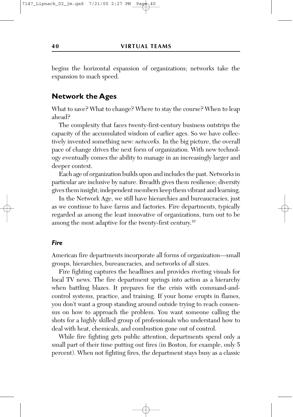begins the horizontal expansion of organizations; networks take the expansion to mach speed.

### **Network the Ages**

What to save? What to change? Where to stay the course? When to leap ahead?

The complexity that faces twenty-first-century business outstrips the capacity of the accumulated wisdom of earlier ages. So we have collectively invented something new: *networks.* In the big picture, the overall pace of change drives the next form of organization. With new technology eventually comes the ability to manage in an increasingly larger and deeper context.

Each age of organization builds upon and includes the past. Networks in particular are inclusive by nature. Breadth gives them resilience; diversity gives them insight; independent members keep them vibrant and learning.

In the Network Age, we still have hierarchies and bureaucracies, just as we continue to have farms and factories. Fire departments, typically regarded as among the least innovative of organizations, turn out to be among the most adaptive for the twenty-first century.<sup>10</sup>

#### *Fire*

American fire departments incorporate all forms of organization—small groups, hierarchies, bureaucracies, and networks of all sizes.

Fire fighting captures the headlines and provides riveting visuals for local TV news. The fire department springs into action as a hierarchy when battling blazes. It prepares for the crisis with command-andcontrol systems, practice, and training. If your home erupts in flames, you don't want a group standing around outside trying to reach consensus on how to approach the problem. You want someone calling the shots for a highly skilled group of professionals who understand how to deal with heat, chemicals, and combustion gone out of control.

While fire fighting gets public attention, departments spend only a small part of their time putting out fires (in Boston, for example, only 5 percent). When not fighting fires, the department stays busy as a classic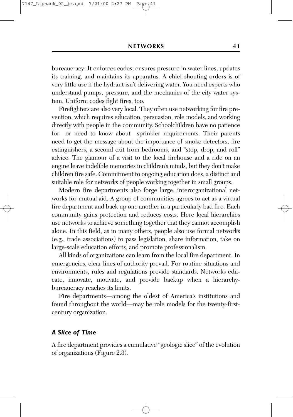bureaucracy: It enforces codes, ensures pressure in water lines, updates its training, and maintains its apparatus. A chief shouting orders is of very little use if the hydrant isn't delivering water. You need experts who understand pumps, pressure, and the mechanics of the city water system. Uniform codes fight fires, too.

Firefighters are also very local. They often use networking for fire prevention, which requires education, persuasion, role models, and working directly with people in the community. Schoolchildren have no patience for—or need to know about—sprinkler requirements. Their parents need to get the message about the importance of smoke detectors, fire extinguishers, a second exit from bedrooms, and "stop, drop, and roll" advice. The glamour of a visit to the local firehouse and a ride on an engine leave indelible memories in children's minds, but they don't make children fire safe. Commitment to ongoing education does, a distinct and suitable role for networks of people working together in small groups.

Modern fire departments also forge large, interorganizational networks for mutual aid. A group of communities agrees to act as a virtual fire department and back up one another in a particularly bad fire. Each community gains protection and reduces costs. Here local hierarchies use networks to achieve something together that they cannot accomplish alone. In this field, as in many others, people also use formal networks (e.g., trade associations) to pass legislation, share information, take on large-scale education efforts, and promote professionalism.

All kinds of organizations can learn from the local fire department. In emergencies, clear lines of authority prevail. For routine situations and environments, rules and regulations provide standards. Networks educate, innovate, motivate, and provide backup when a hierarchybureaucracy reaches its limits.

Fire departments—among the oldest of America's institutions and found throughout the world—may be role models for the twenty-firstcentury organization.

#### *A Slice of Time*

A fire department provides a cumulative "geologic slice" of the evolution of organizations (Figure 2.3).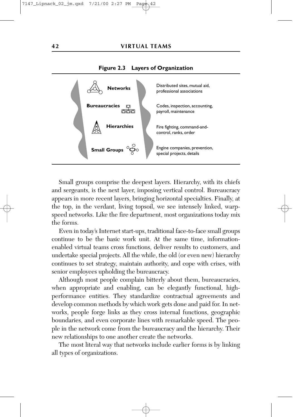

**Figure 2.3 Layers of Organization**

Small groups comprise the deepest layers. Hierarchy, with its chiefs and sergeants, is the next layer, imposing vertical control. Bureaucracy appears in more recent layers, bringing horizontal specialties. Finally, at the top, in the verdant, living topsoil, we see intensely linked, warpspeed networks. Like the fire department, most organizations today mix the forms.

Even in today's Internet start-ups, traditional face-to-face small groups continue to be the basic work unit. At the same time, informationenabled virtual teams cross functions, deliver results to customers, and undertake special projects. All the while, the old (or even new) hierarchy continues to set strategy, maintain authority, and cope with crises, with senior employees upholding the bureaucracy.

Although most people complain bitterly about them, bureaucracies, when appropriate and enabling, can be elegantly functional, highperformance entities. They standardize contractual agreements and develop common methods by which work gets done and paid for. In networks, people forge links as they cross internal functions, geographic boundaries, and even corporate lines with remarkable speed. The people in the network come from the bureaucracy and the hierarchy. Their new relationships to one another create the networks.

The most literal way that networks include earlier forms is by linking all types of organizations.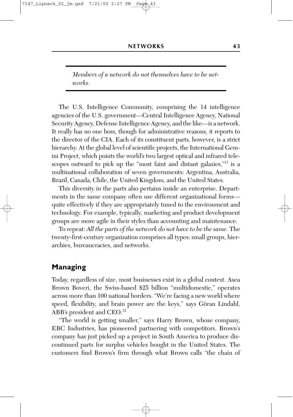*Members of a network do not themselves have to be networks.*

The U.S. Intelligence Community, comprising the 14 intelligence agencies of the U.S. government—Central Intelligence Agency, National Security Agency, Defense Intelligence Agency, and the like—is a network. It really has no one boss, though for administrative reasons, it reports to the director of the CIA. Each of its constituent parts, however, is a strict hierarchy. At the global level of scientific projects, the International Gemini Project, which points the world's two largest optical and infrared telescopes outward to pick up the "most faint and distant galaxies,"<sup>11</sup> is a multinational collaboration of seven governments: Argentina, Australia, Brazil, Canada, Chile, the United Kingdom, and the United States.

This diversity in the parts also pertains inside an enterprise. Departments in the same company often use different organizational forms quite effectively if they are appropriately tuned to the environment and technology. For example, typically, marketing and product development groups are more agile in their styles than accounting and maintenance.

To repeat: *All the parts of the network do not have to be the same.* The twenty-first-century organization comprises all types: small groups, hierarchies, bureaucracies, and networks.

# **Managing**

Today, regardless of size, most businesses exist in a global context. Asea Brown Boveri, the Swiss-based \$25 billion "multidomestic," operates across more than 100 national borders. "We're facing a new world where speed, flexibility, and brain power are the keys," says Göran Lindahl, ABB's president and CEO.<sup>12</sup>

"The world is getting smaller," says Harry Brown, whose company, EBC Industries, has pioneered partnering with competitors. Brown's company has just picked up a project in South America to produce discontinued parts for surplus vehicles bought in the United States. The customers find Brown's firm through what Brown calls "the chain of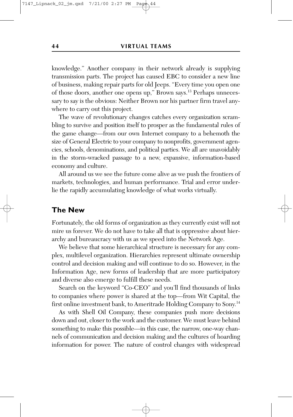knowledge." Another company in their network already is supplying transmission parts. The project has caused EBC to consider a new line of business, making repair parts for old Jeeps. "Every time you open one of those doors, another one opens up," Brown says.13 Perhaps unnecessary to say is the obvious: Neither Brown nor his partner firm travel anywhere to carry out this project.

The wave of revolutionary changes catches every organization scrambling to survive and position itself to prosper as the fundamental rules of the game change—from our own Internet company to a behemoth the size of General Electric to your company to nonprofits, government agencies, schools, denominations, and political parties. We all are unavoidably in the storm-wracked passage to a new, expansive, information-based economy and culture.

All around us we see the future come alive as we push the frontiers of markets, technologies, and human performance. Trial and error underlie the rapidly accumulating knowledge of what works virtually.

# **The New**

Fortunately, the old forms of organization as they currently exist will not mire us forever. We do not have to take all that is oppressive about hierarchy and bureaucracy with us as we speed into the Network Age.

We believe that some hierarchical structure is necessary for any complex, multilevel organization. Hierarchies represent ultimate ownership control and decision making and will continue to do so. However, in the Information Age, new forms of leadership that are more participatory and diverse also emerge to fulfill these needs.

Search on the keyword "Co-CEO" and you'll find thousands of links to companies where power is shared at the top—from Wit Capital, the first online investment bank, to Ameritrade Holding Company to Sony.<sup>14</sup>

As with Shell Oil Company, these companies push more decisions down and out, closer to the work and the customer. We must leave behind something to make this possible—in this case, the narrow, one-way channels of communication and decision making and the cultures of hoarding information for power. The nature of control changes with widespread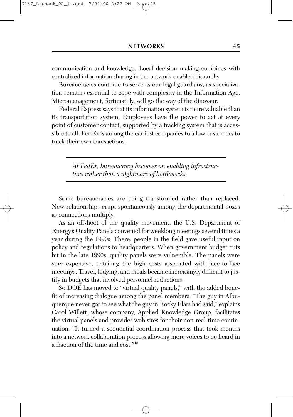communication and knowledge. Local decision making combines with centralized information sharing in the network-enabled hierarchy.

Bureaucracies continue to serve as our legal guardians, as specialization remains essential to cope with complexity in the Information Age. Micromanagement, fortunately, will go the way of the dinosaur.

Federal Express says that its information system is more valuable than its transportation system. Employees have the power to act at every point of customer contact, supported by a tracking system that is accessible to all. FedEx is among the earliest companies to allow customers to track their own transactions.

> *At FedEx, bureaucracy becomes an enabling infrastructure rather than a nightmare of bottlenecks.*

Some bureaucracies are being transformed rather than replaced. New relationships erupt spontaneously among the departmental boxes as connections multiply.

As an offshoot of the quality movement, the U.S. Department of Energy's Quality Panels convened for weeklong meetings several times a year during the 1990s. There, people in the field gave useful input on policy and regulations to headquarters. When government budget cuts hit in the late 1990s, quality panels were vulnerable. The panels were very expensive, entailing the high costs associated with face-to-face meetings. Travel, lodging, and meals became increasingly difficult to justify in budgets that involved personnel reductions.

So DOE has moved to "virtual quality panels," with the added benefit of increasing dialogue among the panel members. "The guy in Albuquerque never got to see what the guy in Rocky Flats had said," explains Carol Willett, whose company, Applied Knowledge Group, facilitates the virtual panels and provides web sites for their non-real-time continuation. "It turned a sequential coordination process that took months into a network collaboration process allowing more voices to be heard in a fraction of the time and cost."15